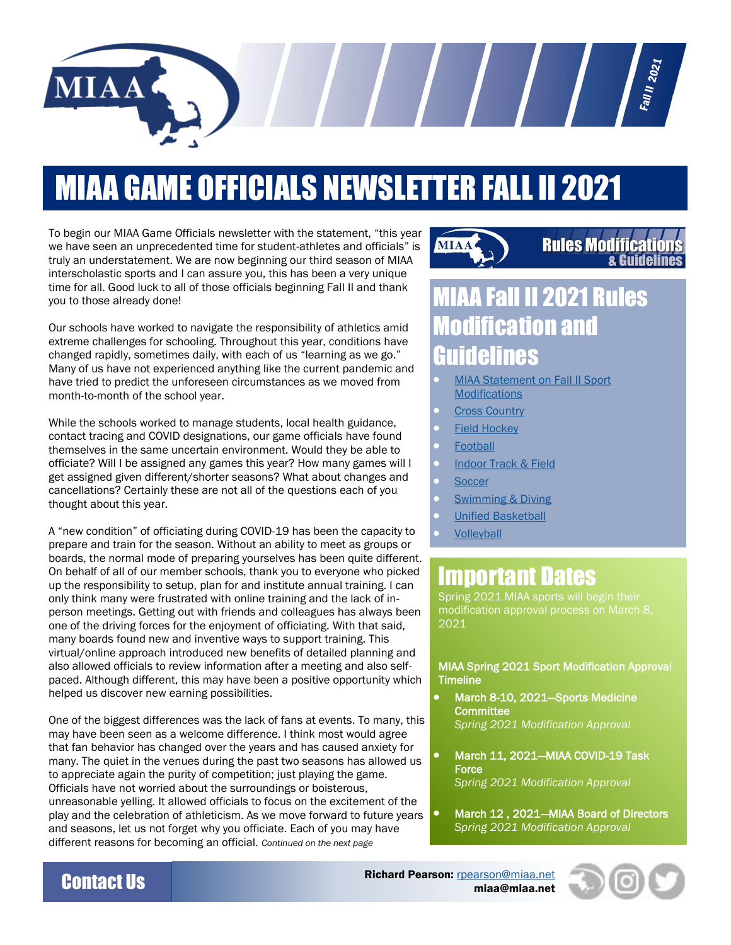

# MIAA GAME OFFICIALS NEWSLETTER FALL II 2021

To begin our MIAA Game Officials newsletter with the statement, "this year we have seen an unprecedented time for student-athletes and officials" is truly an understatement. We are now beginning our third season of MIAA interscholastic sports and I can assure you, this has been a very unique time for all. Good luck to all of those officials beginning Fall II and thank you to those already done!

Our schools have worked to navigate the responsibility of athletics amid extreme challenges for schooling. Throughout this year, conditions have changed rapidly, sometimes daily, with each of us "learning as we go." Many of us have not experienced anything like the current pandemic and have tried to predict the unforeseen circumstances as we moved from month-to-month of the school year.

While the schools worked to manage students, local health guidance, contact tracing and COVID designations, our game officials have found themselves in the same uncertain environment. Would they be able to officiate? Will I be assigned any games this year? How many games will I get assigned given different/shorter seasons? What about changes and cancellations? Certainly these are not all of the questions each of you thought about this year.

A "new condition" of officiating during COVID-19 has been the capacity to prepare and train for the season. Without an ability to meet as groups or boards, the normal mode of preparing yourselves has been quite different. On behalf of all of our member schools, thank you to everyone who picked up the responsibility to setup, plan for and institute annual training. I can only think many were frustrated with online training and the lack of inperson meetings. Getting out with friends and colleagues has always been one of the driving forces for the enjoyment of officiating. With that said, many boards found new and inventive ways to support training. This virtual/online approach introduced new benefits of detailed planning and also allowed officials to review information after a meeting and also selfpaced. Although different, this may have been a positive opportunity which helped us discover new earning possibilities.

One of the biggest differences was the lack of fans at events. To many, this may have been seen as a welcome difference. I think most would agree that fan behavior has changed over the years and has caused anxiety for many. The quiet in the venues during the past two seasons has allowed us to appreciate again the purity of competition; just playing the game. Officials have not worried about the surroundings or boisterous, unreasonable yelling. It allowed officials to focus on the excitement of the play and the celebration of athleticism. As we move forward to future years and seasons, let us not forget why you officiate. Each of you may have different reasons for becoming an official. *Continued on the next page*



 $\begin{array}{ccc} \end{array}$ 

### **Rules Modifications & Guidelines**

**Fall II** 2021

## **AA Fail II 2021 Ruies odification and nidelines**

- [MIAA Statement on Fall II Sport](http://miaa.net/gen/miaa_generated_bin/documents/basic_module/Fall_II_Sport_Modification_Statement.pdf)  **Modifications**
- **Cross Country**
- [Field Hockey](http://miaa.net/gen/miaa_generated_bin/documents/basic_module/Field_Hockey_Modifications_Fall_II_2021.pdf)
- **[Football](http://miaa.net/gen/miaa_generated_bin/documents/basic_module/Football_Modifications_Fall_II_2021.pdf)**
- [Indoor Track & Field](http://miaa.net/gen/miaa_generated_bin/documents/basic_module/Indoor_Track_Modifications_Fall_II_2021.pdf)
- **[Soccer](http://miaa.net/gen/miaa_generated_bin/documents/basic_module/Soccer_Modifications_Fall_II_2021.pdf)**
- **Swimming & Diving**
- [Unified Basketball](http://miaa.net/gen/miaa_generated_bin/documents/basic_module/Unified_Basketball_Modifications_Fall_II_2021.pdf)
- [Volleyball](http://miaa.net/gen/miaa_generated_bin/documents/basic_module/Volleyball_Modifications_Fall_II_2021.pdf)

### Important Dates

Spring 2021 MIAA sports will begin their modification approval process on March 8, 2021

#### MIAA Spring 2021 Sport Modification Approval **Timeline**

- March 8-10, 2021—Sports Medicine **Committee** *Spring 2021 Modification Approval*
- March 11, 2021—MIAA COVID-19 Task **Force** *Spring 2021 Modification Approval*
- March 12 , 2021—MIAA Board of Directors *Spring 2021 Modification Approval*

**Contact Us** Richard Pearson: <u>[rpearson@miaa.net](mailto:rpearson@miaa.net)</u><br>miaa@miaa.net miaa@miaa.net